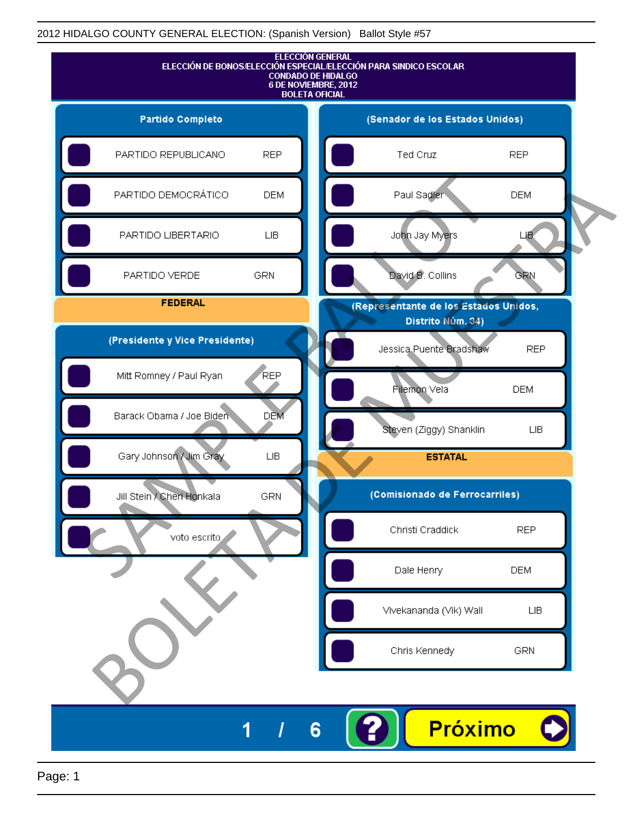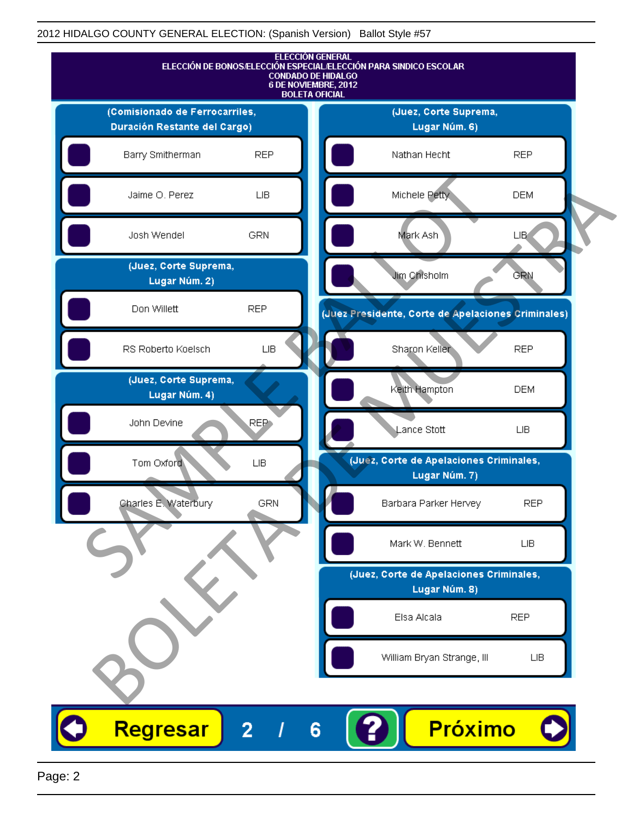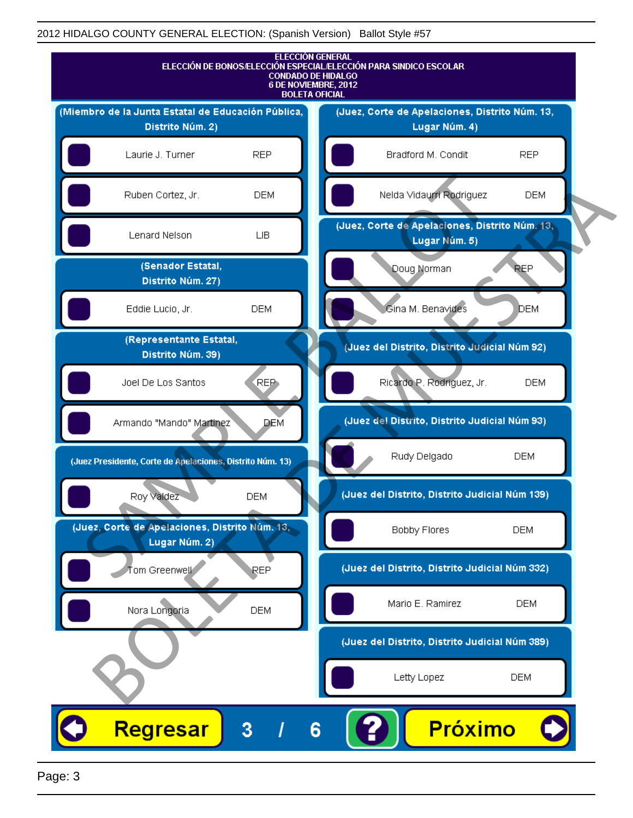

Page: 3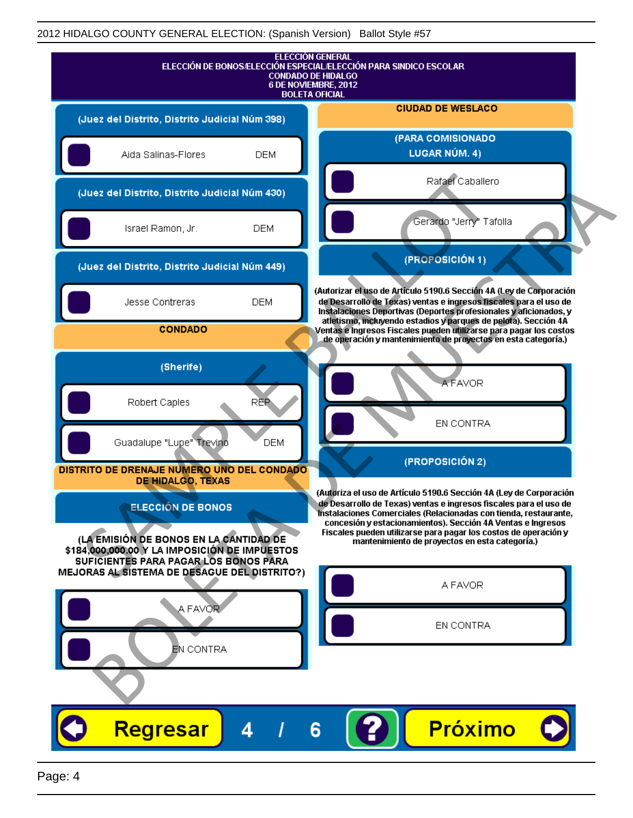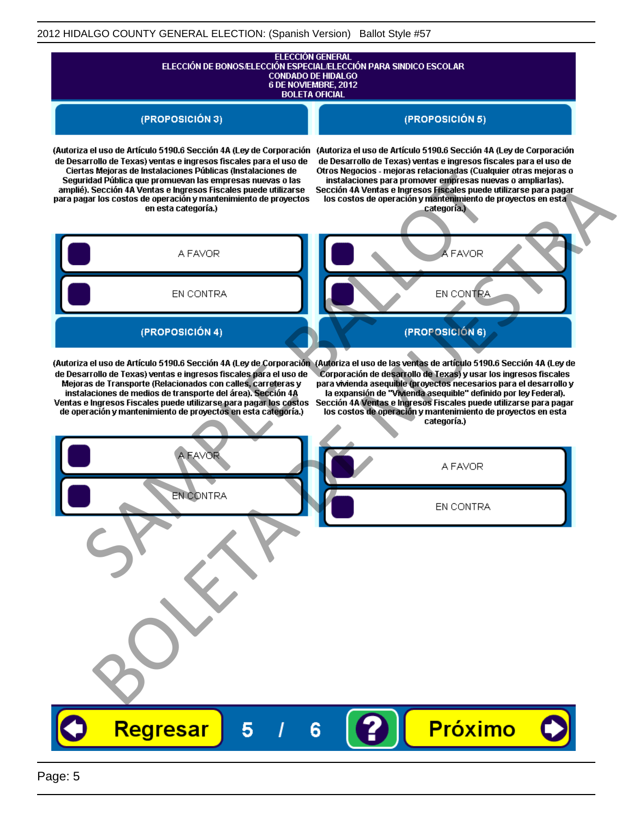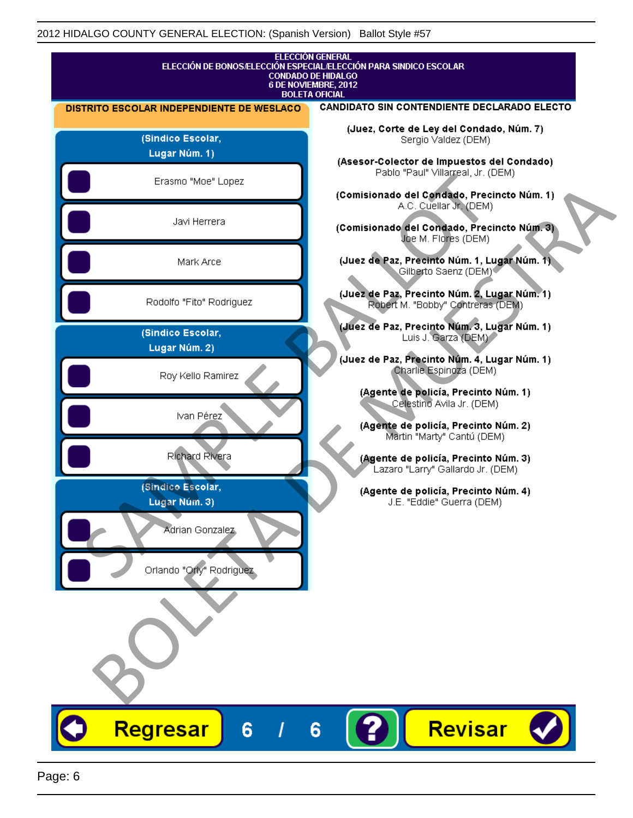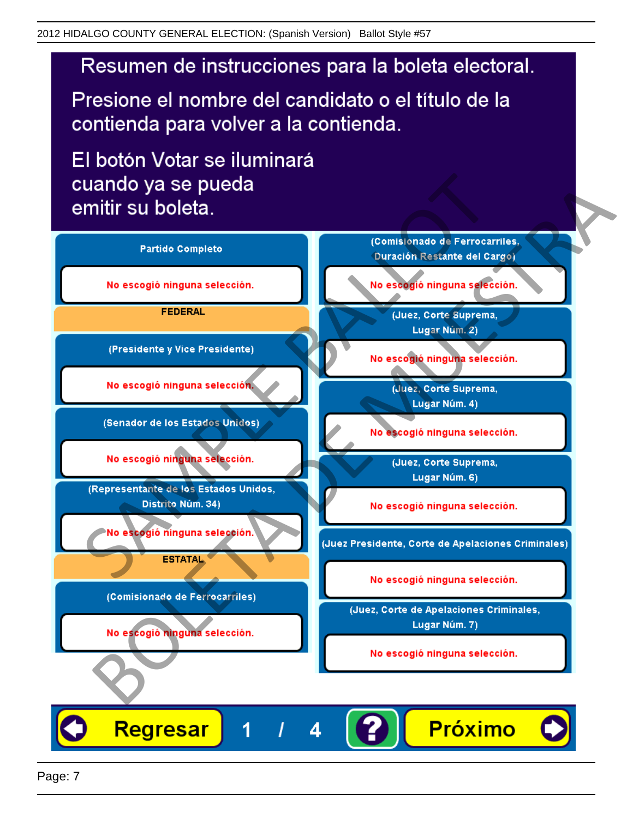## Resumen de instrucciones para la boleta electoral.

Presione el nombre del candidato o el título de la contienda para volver a la contienda.

El botón Votar se iluminará

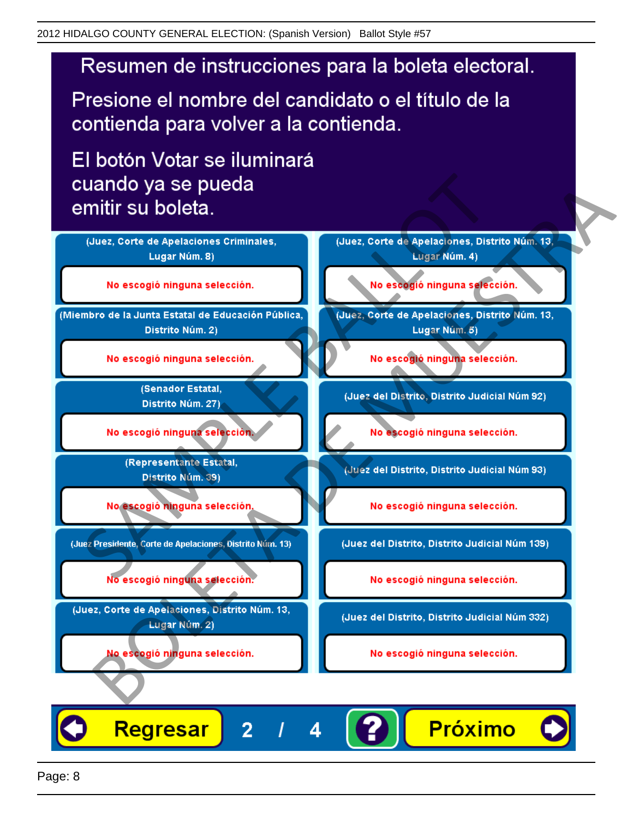## Resumen de instrucciones para la boleta electoral.

Presione el nombre del candidato o el título de la contienda para volver a la contienda.

El botón Votar se iluminará



4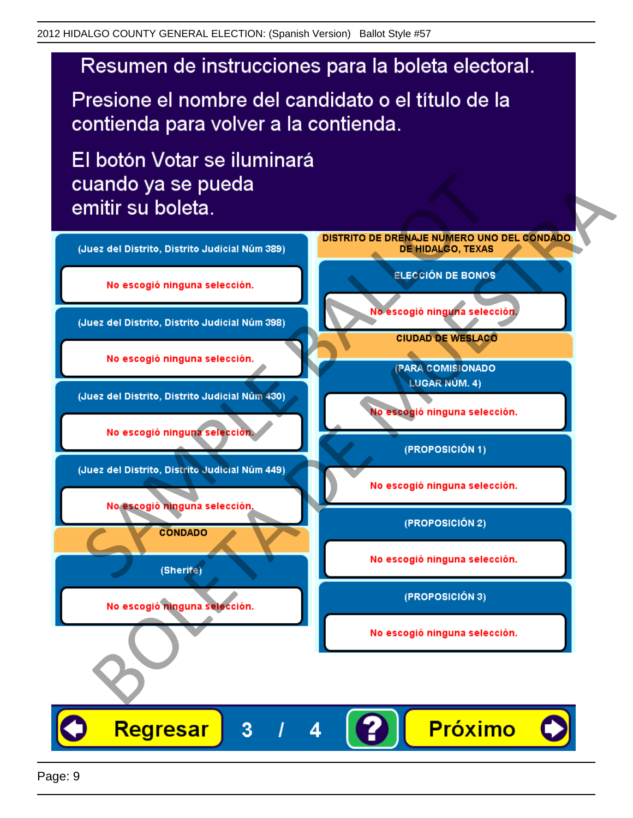

Presione el nombre del candidato o el título de la contienda para volver a la contienda.

El botón Votar se iluminará